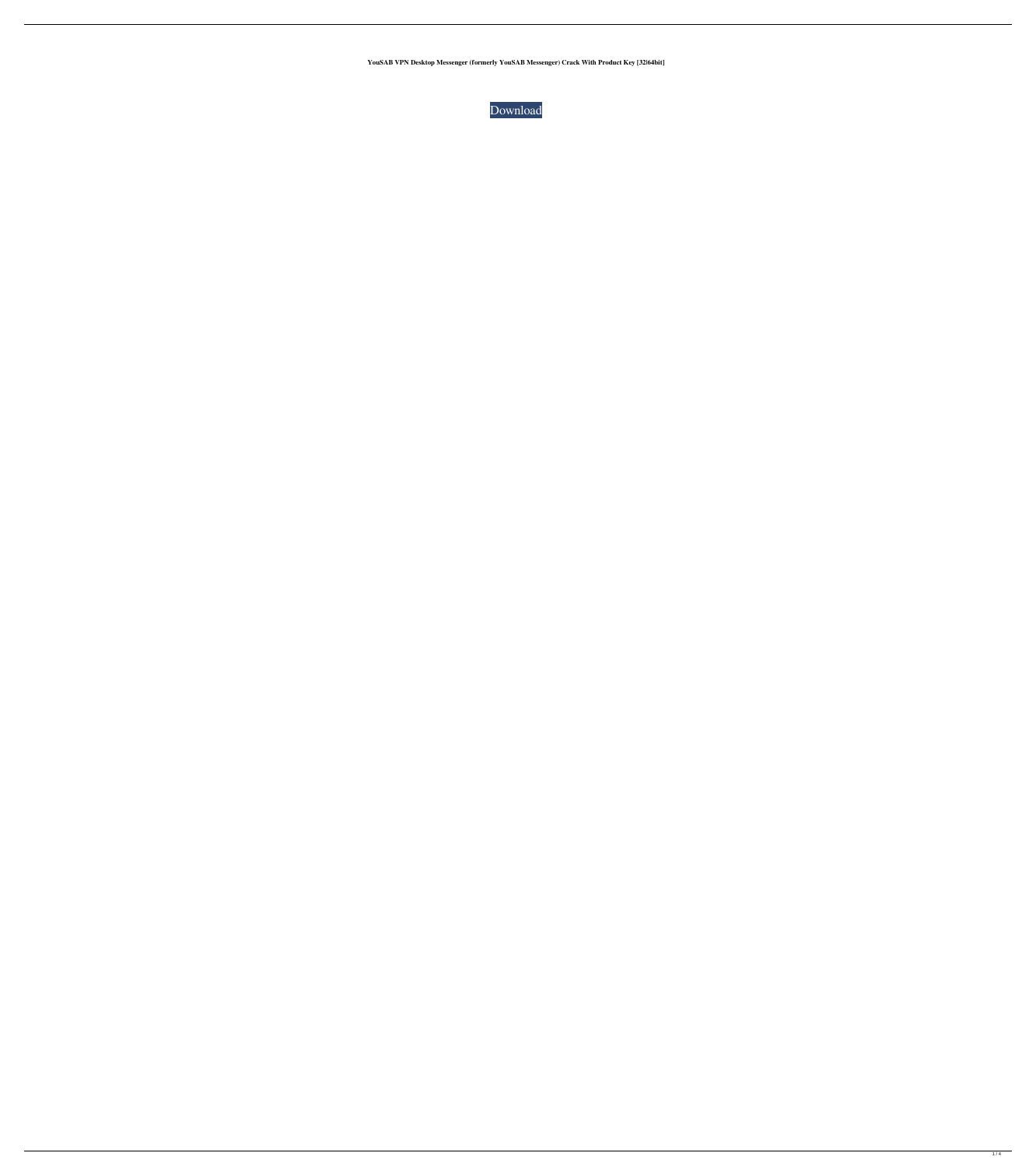**YouSAB VPN Desktop Messenger (formerly YouSAB Messenger) Crack With Product Key [32|64bit]**

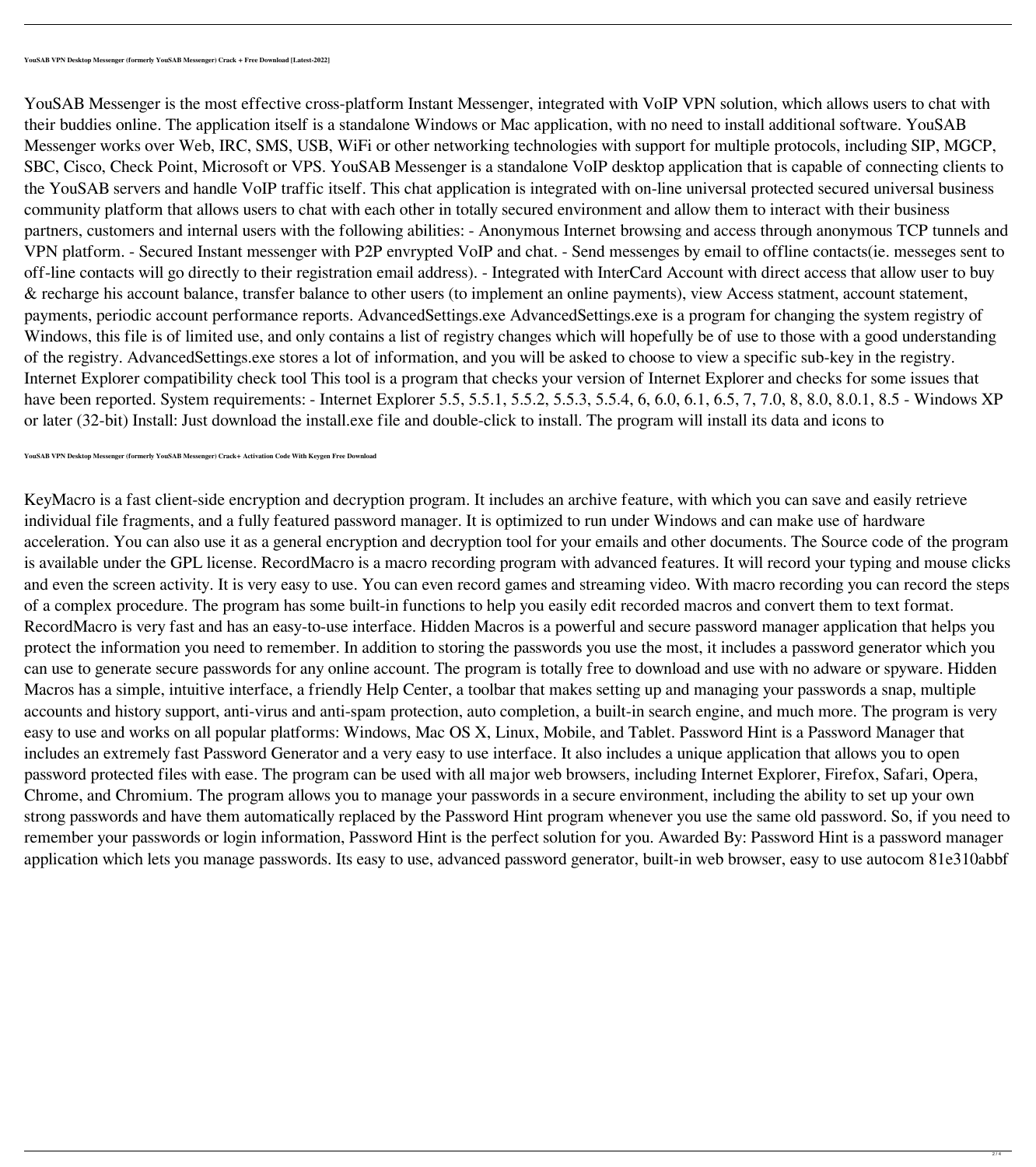YouSAB Messenger is the most effective cross-platform Instant Messenger, integrated with VoIP VPN solution, which allows users to chat with their buddies online. The application itself is a standalone Windows or Mac application, with no need to install additional software. YouSAB Messenger works over Web, IRC, SMS, USB, WiFi or other networking technologies with support for multiple protocols, including SIP, MGCP, SBC, Cisco, Check Point, Microsoft or VPS. YouSAB Messenger is a standalone VoIP desktop application that is capable of connecting clients to the YouSAB servers and handle VoIP traffic itself. This chat application is integrated with on-line universal protected secured universal business community platform that allows users to chat with each other in totally secured environment and allow them to interact with their business partners, customers and internal users with the following abilities: - Anonymous Internet browsing and access through anonymous TCP tunnels and VPN platform. - Secured Instant messenger with P2P envrypted VoIP and chat. - Send messenges by email to offline contacts(ie. messeges sent to off-line contacts will go directly to their registration email address). - Integrated with InterCard Account with direct access that allow user to buy & recharge his account balance, transfer balance to other users (to implement an online payments), view Access statment, account statement, payments, periodic account performance reports. AdvancedSettings.exe AdvancedSettings.exe is a program for changing the system registry of Windows, this file is of limited use, and only contains a list of registry changes which will hopefully be of use to those with a good understanding of the registry. AdvancedSettings.exe stores a lot of information, and you will be asked to choose to view a specific sub-key in the registry. Internet Explorer compatibility check tool This tool is a program that checks your version of Internet Explorer and checks for some issues that have been reported. System requirements: - Internet Explorer 5.5, 5.5.1, 5.5.2, 5.5.3, 5.5.4, 6, 6.0, 6.1, 6.5, 7, 7.0, 8, 8.0, 8.0.1, 8.5 - Windows XP or later (32-bit) Install: Just download the install.exe file and double-click to install. The program will install its data and icons to

**YouSAB VPN Desktop Messenger (formerly YouSAB Messenger) Crack+ Activation Code With Keygen Free Download**

KeyMacro is a fast client-side encryption and decryption program. It includes an archive feature, with which you can save and easily retrieve

individual file fragments, and a fully featured password manager. It is optimized to run under Windows and can make use of hardware acceleration. You can also use it as a general encryption and decryption tool for your emails and other documents. The Source code of the program is available under the GPL license. RecordMacro is a macro recording program with advanced features. It will record your typing and mouse clicks and even the screen activity. It is very easy to use. You can even record games and streaming video. With macro recording you can record the steps of a complex procedure. The program has some built-in functions to help you easily edit recorded macros and convert them to text format. RecordMacro is very fast and has an easy-to-use interface. Hidden Macros is a powerful and secure password manager application that helps you protect the information you need to remember. In addition to storing the passwords you use the most, it includes a password generator which you can use to generate secure passwords for any online account. The program is totally free to download and use with no adware or spyware. Hidden Macros has a simple, intuitive interface, a friendly Help Center, a toolbar that makes setting up and managing your passwords a snap, multiple accounts and history support, anti-virus and anti-spam protection, auto completion, a built-in search engine, and much more. The program is very easy to use and works on all popular platforms: Windows, Mac OS X, Linux, Mobile, and Tablet. Password Hint is a Password Manager that includes an extremely fast Password Generator and a very easy to use interface. It also includes a unique application that allows you to open password protected files with ease. The program can be used with all major web browsers, including Internet Explorer, Firefox, Safari, Opera, Chrome, and Chromium. The program allows you to manage your passwords in a secure environment, including the ability to set up your own strong passwords and have them automatically replaced by the Password Hint program whenever you use the same old password. So, if you need to remember your passwords or login information, Password Hint is the perfect solution for you. Awarded By: Password Hint is a password manager application which lets you manage passwords. Its easy to use, advanced password generator, built-in web browser, easy to use autocom 81e310abbf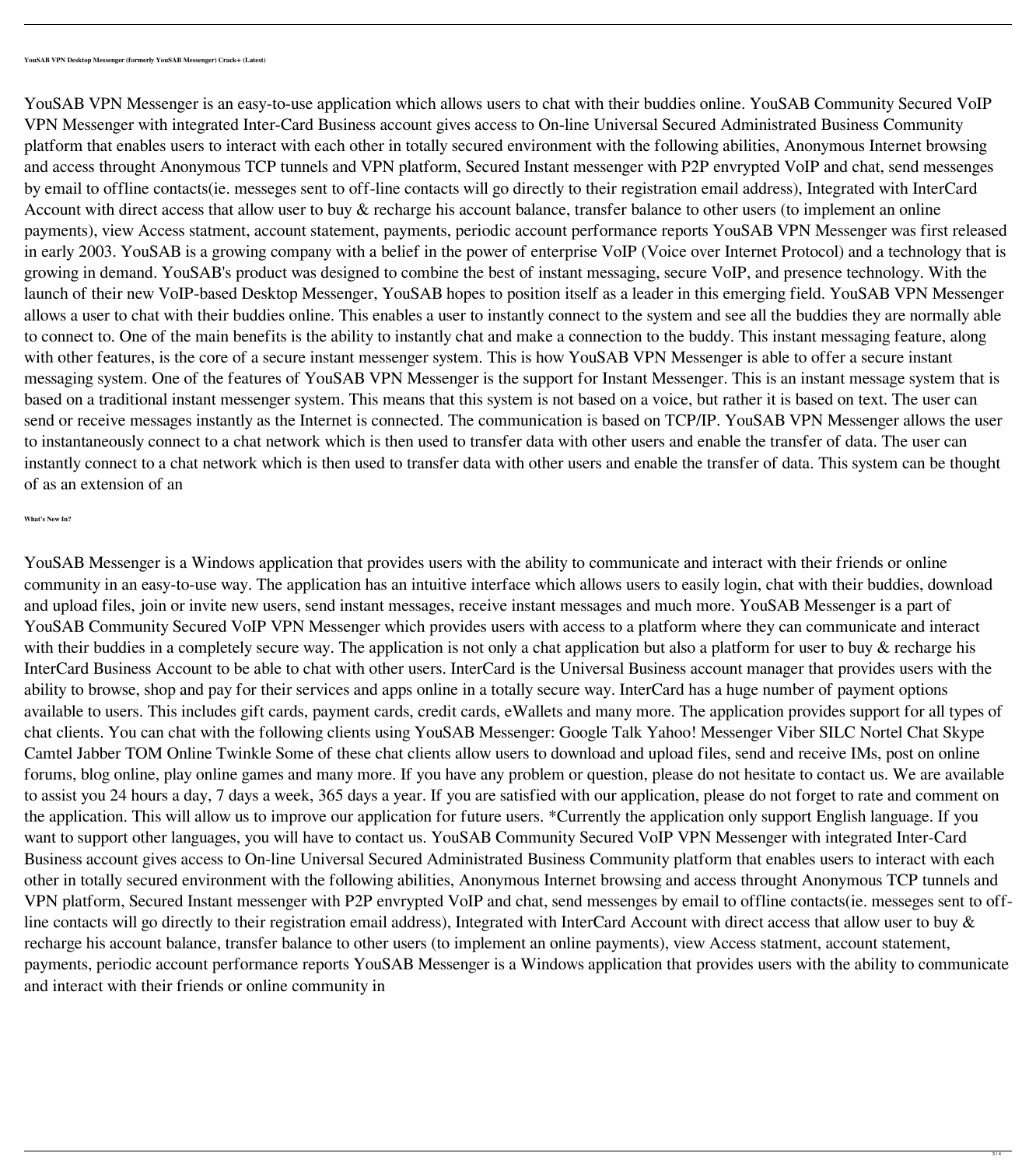YouSAB VPN Messenger is an easy-to-use application which allows users to chat with their buddies online. YouSAB Community Secured VoIP VPN Messenger with integrated Inter-Card Business account gives access to On-line Universal Secured Administrated Business Community platform that enables users to interact with each other in totally secured environment with the following abilities, Anonymous Internet browsing and access throught Anonymous TCP tunnels and VPN platform, Secured Instant messenger with P2P envrypted VoIP and chat, send messenges by email to offline contacts(ie. messeges sent to off-line contacts will go directly to their registration email address), Integrated with InterCard Account with direct access that allow user to buy & recharge his account balance, transfer balance to other users (to implement an online payments), view Access statment, account statement, payments, periodic account performance reports YouSAB VPN Messenger was first released in early 2003. YouSAB is a growing company with a belief in the power of enterprise VoIP (Voice over Internet Protocol) and a technology that is growing in demand. YouSAB's product was designed to combine the best of instant messaging, secure VoIP, and presence technology. With the launch of their new VoIP-based Desktop Messenger, YouSAB hopes to position itself as a leader in this emerging field. YouSAB VPN Messenger allows a user to chat with their buddies online. This enables a user to instantly connect to the system and see all the buddies they are normally able to connect to. One of the main benefits is the ability to instantly chat and make a connection to the buddy. This instant messaging feature, along with other features, is the core of a secure instant messenger system. This is how YouSAB VPN Messenger is able to offer a secure instant messaging system. One of the features of YouSAB VPN Messenger is the support for Instant Messenger. This is an instant message system that is based on a traditional instant messenger system. This means that this system is not based on a voice, but rather it is based on text. The user can send or receive messages instantly as the Internet is connected. The communication is based on TCP/IP. YouSAB VPN Messenger allows the user to instantaneously connect to a chat network which is then used to transfer data with other users and enable the transfer of data. The user can instantly connect to a chat network which is then used to transfer data with other users and enable the transfer of data. This system can be thought of as an extension of an

YouSAB Messenger is a Windows application that provides users with the ability to communicate and interact with their friends or online community in an easy-to-use way. The application has an intuitive interface which allows users to easily login, chat with their buddies, download and upload files, join or invite new users, send instant messages, receive instant messages and much more. YouSAB Messenger is a part of YouSAB Community Secured VoIP VPN Messenger which provides users with access to a platform where they can communicate and interact with their buddies in a completely secure way. The application is not only a chat application but also a platform for user to buy & recharge his InterCard Business Account to be able to chat with other users. InterCard is the Universal Business account manager that provides users with the ability to browse, shop and pay for their services and apps online in a totally secure way. InterCard has a huge number of payment options available to users. This includes gift cards, payment cards, credit cards, eWallets and many more. The application provides support for all types of chat clients. You can chat with the following clients using YouSAB Messenger: Google Talk Yahoo! Messenger Viber SILC Nortel Chat Skype Camtel Jabber TOM Online Twinkle Some of these chat clients allow users to download and upload files, send and receive IMs, post on online forums, blog online, play online games and many more. If you have any problem or question, please do not hesitate to contact us. We are available to assist you 24 hours a day, 7 days a week, 365 days a year. If you are satisfied with our application, please do not forget to rate and comment on the application. This will allow us to improve our application for future users. \*Currently the application only support English language. If you want to support other languages, you will have to contact us. YouSAB Community Secured VoIP VPN Messenger with integrated Inter-Card Business account gives access to On-line Universal Secured Administrated Business Community platform that enables users to interact with each other in totally secured environment with the following abilities, Anonymous Internet browsing and access throught Anonymous TCP tunnels and VPN platform, Secured Instant messenger with P2P envrypted VoIP and chat, send messenges by email to offline contacts(ie. messeges sent to offline contacts will go directly to their registration email address), Integrated with InterCard Account with direct access that allow user to buy & recharge his account balance, transfer balance to other users (to implement an online payments), view Access statment, account statement, payments, periodic account performance reports YouSAB Messenger is a Windows application that provides users with the ability to communicate and interact with their friends or online community in